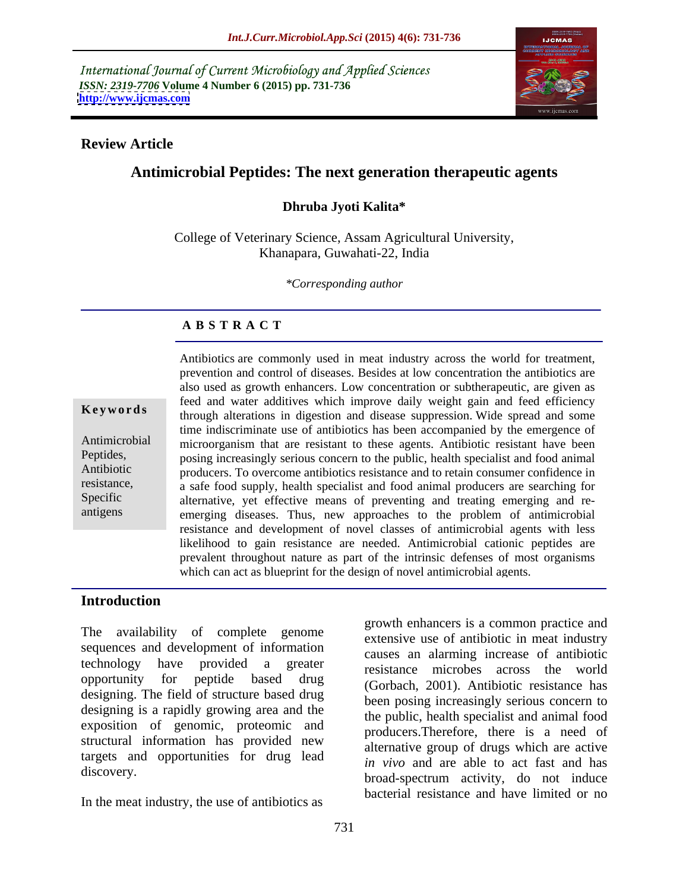International Journal of Current Microbiology and Applied Sciences *ISSN: 2319-7706* **Volume 4 Number 6 (2015) pp. 731-736 <http://www.ijcmas.com>**



### **Review Article**

# **Antimicrobial Peptides: The next generation therapeutic agents**

## **Dhruba Jyoti Kalita\***

College of Veterinary Science, Assam Agricultural University, Khanapara, Guwahati-22, India

*\*Corresponding author*

# **A B S T R A C T**

antigens

Antibiotics are commonly used in meat industry across the world for treatment, prevention and control of diseases. Besides at low concentration the antibiotics are also used as growth enhancers. Low concentration or subtherapeutic, are given as feed and water additives which improve daily weight gain and feed efficiency **Keywords** through alterations in digestion and disease suppression. Wide spread and some through alterations in digestion and disease suppression. Wide spread and some time indiscriminate use of antibiotics has been accompanied by the emergence of Antimicrobial microorganism that are resistant to these agents. Antibiotic resistant have been posing increasingly serious concern to the public, health specialist and food animal Peptides, producers. To overcome antibiotics resistance and to retain consumer confidence in Antibiotic resistance, a safe food supply, health specialist and food animal producers are searching for Specific alternative, yet effective means of preventing and treating emerging and reemerging diseases. Thus, new approaches to the problem of antimicrobial resistance and development of novel classes of antimicrobial agents with less likelihood to gain resistance are needed. Antimicrobial cationic peptides are prevalent throughout nature as part of the intrinsic defenses of most organisms which can act as blueprint for the design of novel antimicrobial agents.

## **Introduction**

The availability of complete genome sequences and development of information designing. The field of structure based drug designing is a rapidly growing area and the exposition of genomic, proteomic and structural information has provided new targets and opportunities for drug lead

In the meat industry, the use of antibiotics as

technology have provided a greater resistance microbes across the world opportunity for peptide based drug (Gorbach, 2001). Antibiotic resistance has discovery.<br>
broad-spectrum activity, do not induce growth enhancers is a common practice and extensive use of antibiotic in meat industry causes an alarming increase of antibiotic been posing increasingly serious concern to the public, health specialist and animal food producers.Therefore, there is a need of alternative group of drugs which are active *in vivo* and are able to act fast and has bacterial resistance and have limited or no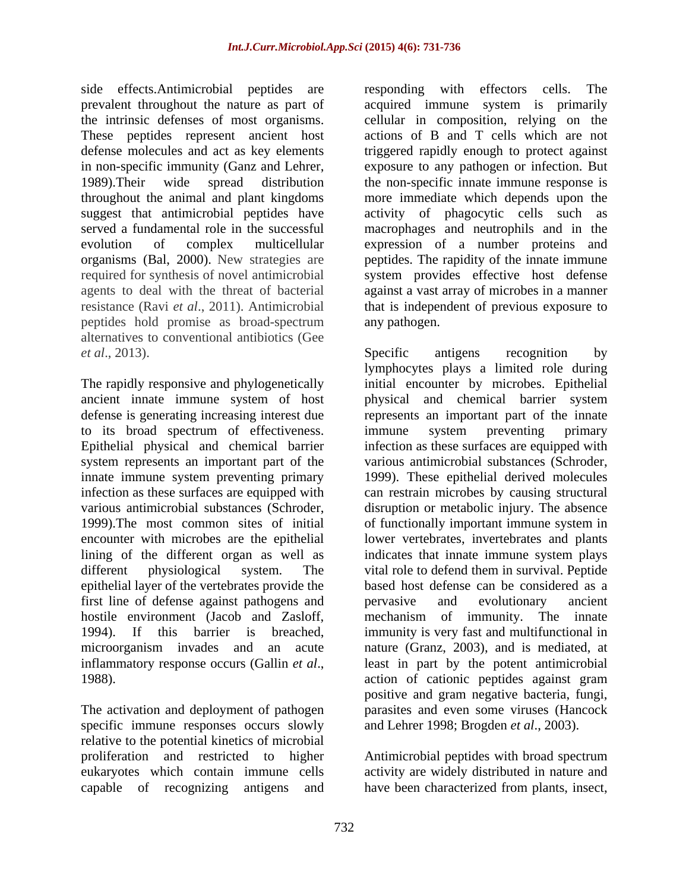side effects.Antimicrobial peptides are responding with effectors cells. The prevalent throughout the nature as part of peptides hold promise as broad-spectrum alternatives to conventional antibiotics (Gee

to its broad spectrum of effectiveness. system represents an important part of the epithelial layer of the vertebrates provide the first line of defense against pathogens and pervasive and evolutionary ancient

The activation and deployment of pathogen specific immune responses occurs slowly relative to the potential kinetics of microbial proliferation and restricted to higher Antimicrobial peptides with broad spectrum eukaryotes which contain immune cells activity are widely distributed in nature and capable of recognizing antigens and

the intrinsic defenses of most organisms. cellular in composition, relying on the These peptides represent ancient host actions of B and T cells which are not defense molecules and act as key elements triggered rapidly enough to protect against in non-specific immunity (Ganz and Lehrer, exposure to any pathogen or infection. But 1989).Their wide spread distribution the non-specific innate immune response is throughout the animal and plant kingdoms more immediate which depends upon the suggest that antimicrobial peptides have activity of phagocytic cells such as served a fundamental role in the successful macrophages and neutrophils and in the evolution of complex multicellular expression of a number proteins and organisms (Bal, 2000). New strategies are peptides. The rapidity of the innate immune required for synthesis of novel antimicrobial system provides effective host defense agents to deal with the threat of bacterial against a vast array of microbesin a manner resistance (Ravi *et al*., 2011). Antimicrobial that is independent of previous exposure to responding with effectors cells. acquired immune system is primarily any pathogen.

*et al.*, 2013). Specific antigens recognition by The rapidly responsive and phylogenetically initial encounter by microbes. Epithelial ancient innate immune system of host physical and chemical barrier system defense is generating increasing interest due represents an important part of the innate Epithelial physical and chemical barrier infection as these surfaces are equipped with innate immune system preventing primary 1999). These epithelial derived molecules infection as these surfaces are equipped with can restrain microbes by causing structural various antimicrobial substances (Schroder, disruption or metabolic injury. The absence 1999).The most common sites of initial of functionally importantimmune system in encounter with microbes are the epithelial lower vertebrates, invertebrates and plants lining of the different organ as well as indicates that innate immune system plays different physiological system. The vital role to defend them in survival. Peptide hostile environment (Jacob and Zasloff, mechanism of immunity. The innate 1994). If this barrier is breached, immunity is very fast and multifunctional in microorganism invades and an acute nature (Granz, 2003), and is mediated, at inflammatory response occurs (Gallin *et al.*, least in part by the potent antimicrobial action of cationic peptides against gram Specific antigens recognition by lymphocytes plays a limited role during immune system preventing primary various antimicrobial substances (Schroder, based host defense can be considered as a pervasive and evolutionary ancient least in part by the potent antimicrobial action of cationic peptides against gram positive and gram negative bacteria, fungi, parasites and even some viruses (Hancock and Lehrer 1998; Brogden *et al*., 2003).

have been characterized from plants, insect,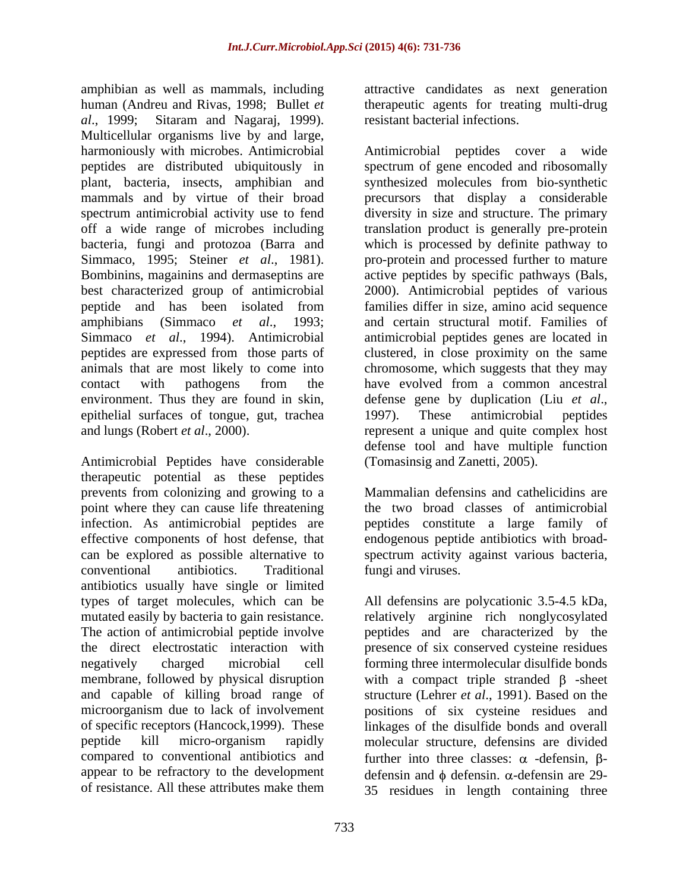amphibian as well as mammals, including attractive candidates as next generation human (Andreu and Rivas, 1998; Bullet *et*  therapeutic agents for treating multi-drug *al*., 1999; Sitaram and Nagaraj, 1999). Multicellular organisms live by and large, environment. Thus they are found in skin, defense gene by duplication (Liu et al., epithelial surfaces of tongue, gut, trachea

Antimicrobial Peptides have considerable therapeutic potential as these peptides prevents from colonizing and growing to a point where they can cause life threatening infection. As antimicrobial peptides are peptides constitute a large family of effective components of host defense, that endogenous peptide antibiotics with broad can be explored as possible alternative to spectrum activity against various bacteria, conventional antibiotics. Traditional antibiotics usually have single or limited types of target molecules, which can be All defensins are polycationic 3.5-4.5 kDa, mutated easily by bacteria to gain resistance. relatively arginine rich nonglycosylated The action of antimicrobial peptide involve peptides and are characterized by the the direct electrostatic interaction with presence of six conserved cysteine residues negatively charged microbial cell forming three intermolecular disulfide bonds membrane, followed by physical disruption with a compact triple stranded  $\beta$  -sheet and capable of killing broad range of structure (Lehrer *et al*., 1991). Based on the microorganism due to lack of involvement positions of six cysteine residues and of specific receptors (Hancock,1999). These linkages of the disulfide bonds and overall peptide kill micro-organism rapidly molecular structure, defensins are divided compared to conventional antibiotics and further into three classes:  $\alpha$  -defensin,  $\beta$ appear to be refractory to the development defensin and  $\phi$  defensin.  $\alpha$ -defensin are 29-

resistant bacterial infections.

harmoniously with microbes. Antimicrobial Antimicrobial peptides cover a wide peptides are distributed ubiquitously in spectrum of gene encoded and ribosomally plant, bacteria, insects, amphibian and synthesized molecules from bio-synthetic mammals and by virtue of their broad precursors that display a considerable spectrum antimicrobial activity use to fend diversity in size and structure. The primary off a wide range of microbes including translation product is generally pre-protein bacteria, fungi and protozoa (Barra and which is processed by definite pathway to Simmaco, 1995; Steiner *et al.*, 1981). pro-protein and processed further to mature Bombinins, magainins and dermaseptins are active peptides by specific pathways (Bals, best characterized group of antimicrobial 2000). Antimicrobial peptides of various peptide and has been isolated from families differ in size, amino acid sequence amphibians (Simmaco *et al*., 1993; and certain structural motif. Families of Simmaco *et al.*, 1994). Antimicrobial antimicrobial peptides genes are located in peptides are expressed from those parts of clustered, in close proximity on the same animals that are most likely to come into chromosome, which suggests that they may contact with pathogens from the have evolved from a common ancestral and lungs (Robert *et al*., 2000). represent a unique and quite complex host have evolved from a common ancestral defense gene by duplication (Liu *et al*., 1997). These antimicrobial peptides defense tool and have multiple function (Tomasinsig and Zanetti, 2005).

> Mammalian defensins and cathelicidins are the two broad classes of antimicrobial fungi and viruses.

of resistance. All these attributes make them 35 residues in length containing three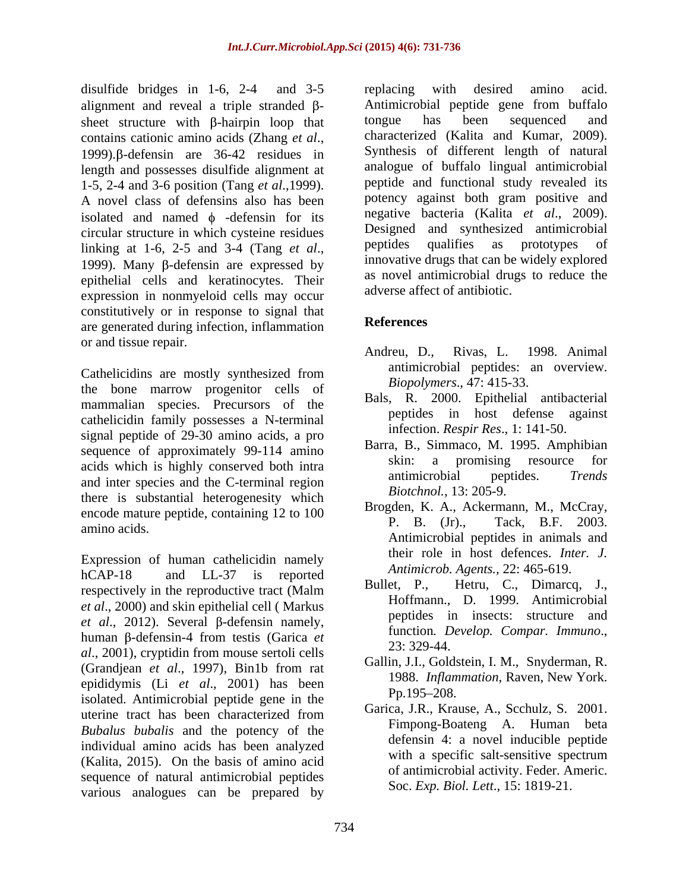disulfide bridges in 1-6, 2-4 and 3-5 replacing with desired amino acid. alignment and reveal a triple stranded  $\beta$ sheet structure with  $\beta$ -hairpin loop that tongue has been sequenced and contains cationic amino acids (Zhang *et al.*, characterized (Kalita and Kumar, 2009). length and possesses disulfide alignment at 1-5, 2-4 and 3-6 position (Tang *et al*.,1999). A novel class of defensins also has been isolated and named  $\phi$  -defensin for its circular structure in which cysteine residues<br>linking at 1-6, 2-5 and 3-4 (Tang et al. peptides qualifies as prototypes of epithelial cells and keratinocytes. Their expression in nonmyeloid cells may occur constitutively or in response to signal that<br>are consented during infection inflammation. are generated during infection, inflammation or and tissue repair. Andreu, D.,

Cathelicidins are mostly synthesized from the bone marrow progenitor cells of mammalian species. Precursors of the cathelicidin family possesses a N-terminal signal peptide of 29-30 amino acids, a pro sequence of approximately 99-114 amino<br>skin: a promising resource for acids which is highly conserved both intra<br>and integrating conserved both intra<br>and integrating conserved both intra<br>and integrating conserved and the C terminal region and inter species and the C-terminal region there is substantial heterogenesity which encode mature peptide, containing 12 to 100  $\frac{\text{Brogden, K. A., A}}{\text{P. B. (Jr)}}$ amino acids.  $\begin{bmatrix} 1 & 0 \\ 0 & 1 \end{bmatrix}$ ,  $\begin{bmatrix} 0 & 1 \\ 1 & 1 \end{bmatrix}$ ,  $\begin{bmatrix} 1 & 1 \\ 0 & 1 \end{bmatrix}$ ,  $\begin{bmatrix} 1 & 1 \\ 0 & 1 \end{bmatrix}$ ,  $\begin{bmatrix} 1 & 1 \\ 0 & 1 \end{bmatrix}$ ,  $\begin{bmatrix} 1 & 1 \\ 1 & 1 \end{bmatrix}$ 

Expression of human cathelicidin namely hCAP-18 and LL-37 is reported  $\overrightarrow{B}$   $\overrightarrow{B}$   $\overrightarrow{C}$   $\overrightarrow{D}$   $\overrightarrow{C}$   $\overrightarrow{D}$ . respectively in the reproductive tract (Malm  $\begin{array}{c} \text{Bullet, P.,} \\ \text{Eullet, P.,} \end{array}$ *et al*., 2000) and skin epithelial cell ( Markus  $et \ al., 2012$ ). Several  $\beta$ -defensin namely, human β-defensin-4 from testis (Garica *et* **comparison** in the 1, 2001).  $\frac{1}{23}$ : 329-44. *al*., 2001), cryptidin from mouse sertoli cells (Grandjean *et al*., 1997), Bin1b from rat epididymis (Li *et al.*, 2001) has been the the p.1958. *Inflam*<br>isolated Antimicrabial partide ages in the Pp.195–208. isolated. Antimicrobial peptide gene in the uterine tract has been characterized from  $\overrightarrow{V}$  Usinca, J.N., Niause, A., Sechulz, S. 2001. *Bubalus bubalis* and the potency of the individual amino acids has been analyzed<br>(Kalita, 2015). On the basis of omine acid (Kalita, 2015). On the basis of amino acid sequence of natural antimicrobial peptides various analogues can be prepared by

contains cationic amino acids (Zhang *et al.*, characterized (Kalita and Kumar, 2009).<br>1999).β-defensin are 36-42 residues in Synthesis of different length of natural linking at 1-6, 2-5 and 3-4 (Tang *et al.*, peptides qualifies as prototypes of innovative drugs that can be widely explored innovative drugs that can be widely explored replacing with desired amino acid. Antimicrobial peptide gene from buffalo tongue has been sequenced and characterized (Kalita and Kumar, 2009). Synthesis of different length of natural analogue of buffalo lingual antimicrobial peptide and functional study revealed its potency against both gram positive and negative bacteria (Kalita *et al*., 2009). Designed and synthesized antimicrobial peptides qualifies as prototypes of innovative drugs that can be widely explored as novel antimicrobial drugs to reduce the adverse affect of antibiotic.

# **References**

- Rivas, L. 1998. Animal antimicrobial peptides: an overview. *Biopolymers*., 47: 415-33.
- Bals, R. 2000. Epithelial antibacterial peptides in host defense against infection. *Respir Res*., 1: 141-50.
- Barra, B., Simmaco, M. 1995. Amphibian a promising resource antimicrobial peptides. *Trends Biotchnol.,* 13: 205-9.
- Brogden, K. A., Ackermann, M., McCray, Tack, B.F. 2003. Antimicrobial peptides in animals and their role in host defences. *Inter. J. Antimicrob. Agents.,* 22: 465-619.
- Hetru, C., Dimarcq, J., Hoffmann., D. 1999. Antimicrobial peptides in insects: structure and function. *Develop. Compar. Immuno.*,
- Gallin, J.I., Goldstein, I. M., Snyderman, R. 1988. *Inflammation*, Raven, New York.  $Pp.195 - 208.$
- Garica, J.R., Krause, A., Scchulz, S. 2001. Fimpong-Boateng A. Human beta defensin 4: a novel inducible peptide with a specific salt-sensitive spectrum of antimicrobial activity. Feder. Americ. Soc. *Exp. Biol. Lett*., 15: 1819-21.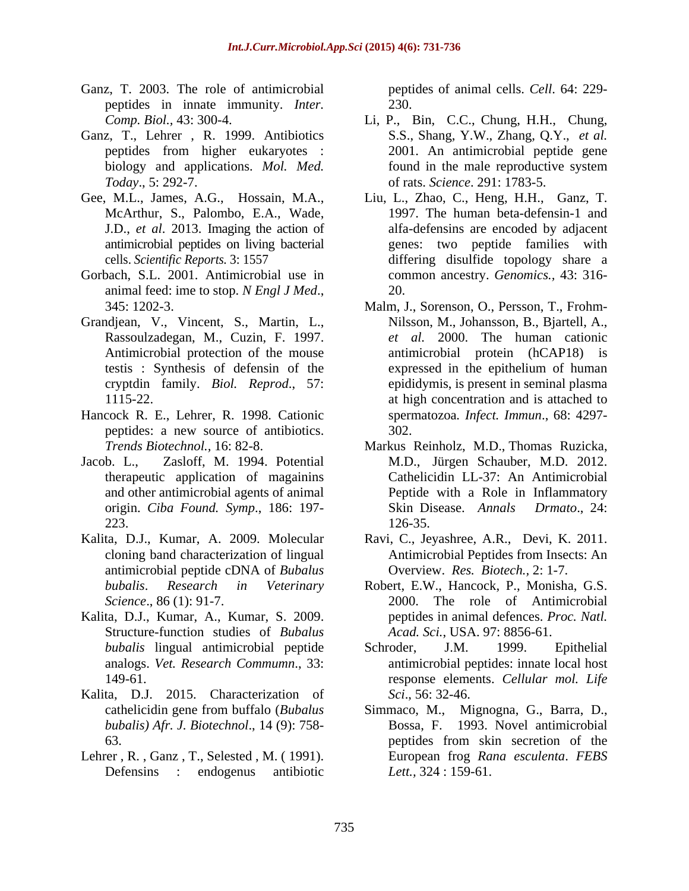- Ganz, T. 2003. The role of antimicrobial peptides in innate immunity. *Inter.*
- Ganz, T., Lehrer , R. 1999. Antibiotics
- McArthur, S., Palombo, E.A., Wade, J.D., *et al*. 2013. Imaging the action of
- Gorbach, S.L. 2001. Antimicrobial use in animal feed: ime to stop. *N Engl J Med.*, 20.<br>345: 1202-3. Malm, J., Sorenson, O., Persson, T., Frohm-
- Grandjean, V., Vincent, S., Martin, L.,
- Hancock R. E., Lehrer, R. 1998. Cationic peptides: a new source of antibiotics.
- Jacob. L., Zasloff, M. 1994. Potential M.D., Jürgen Schauber, M.D. 2012.
- antimicrobial peptide cDNA of *Bubalus*
- Kalita, D.J., Kumar, A., Kumar, S. 2009. Structure-function studies of *Bubalus*  analogs. *Vet. Research Commumn*., 33:
- Kalita, D.J. 2015. Characterization of Sci. 56: 32-46. *bubalis) Afr. J. Biotechnol*., 14 (9): 758-
- Lehrer , R. , Ganz , T., Selested , M. ( 1991). Defensins : endogenus antibiotic

peptides of animal cells. *Cell*.64:229- 230.

- *Comp. Biol.,* 43: 300-4. Li, P., Bin, C.C., Chung, H.H., Chung, peptides from higher eukaryotes : biology and applications. *Mol. Med.* found in the male reproductive system *Today*., 5: 292-7. of rats. *Science*. 291: 1783-5. S.S., Shang, Y.W., Zhang, Q.Y., *et al.* 2001. An antimicrobial peptide gene
- Gee, M.L., James, A.G., Hossain, M.A., Liu, L., Zhao, C., Heng, H.H., Ganz, T. antimicrobial peptides on living bacterial genes: two peptide families with cells. *Scientific Reports*. 3: 1557 differing disulfide topology share a 1997. The human beta-defensin-1 and alfa-defensins are encoded by adjacent common ancestry. *Genomics.,* 43: 316- 20.
	- Rassoulzadegan, M., Cuzin, F. 1997. *et al.* 2000. The human cationic Antimicrobial protection of the mouse antimicrobial protein (hCAP18) is testis : Synthesis of defensin of the cryptdin family. *Biol. Reprod*., 57: epididymis, is present in seminal plasma 1115-22. at high concentration and is attached to Nilsson, M., Johansson, B., Bjartell, A., expressed in the epithelium of human spermatozoa*. Infect. Immun*., 68: 4297- 302.
	- *Trends Biotechnol.,* 16: 82-8. therapeutic application of magainins Cathelicidin LL-37: An Antimicrobial and other antimicrobial agents of animal Peptide with a Role in Inflammatory origin. *Ciba Found. Symp*., 186: 197- Skin Disease. *Annals Drmato*., 24: 223. 126-35. Markus Reinholz, M.D., Thomas Ruzicka, M.D., Jürgen Schauber, M.D. 2012. 126-35.
- Kalita, D.J., Kumar, A. 2009. Molecular Ravi, C., Jeyashree, A.R., Devi, K. 2011. cloning band characterization of lingual Antimicrobial Peptides from Insects: An Overview. *Res. Biotech.,* 2: 1-7.
	- *bubalis*. *Research in Veterinary* Robert, E.W., Hancock, P., Monisha, G.S. Science., 86 (1): 91-7. peptides in animal defences. *Proc. Natl. Acad. Sci.*, USA. 97: 8856-61.
	- *bubalis* lingual antimicrobial peptide Schroder, J.M. 1999. Epithelial 149-61. response elements. *Cellular mol. Life* Schroder, J.M. 1999. Epithelial antimicrobial peptides: innate local host *Sci*., 56: 32-46.
	- cathelicidin gene from buffalo (*Bubalus*  Simmaco, M., Mignogna, G., Barra, D., 63. better of the secretion of the secretion of the secretion of the secretion of the secretion of the secretion of the secretion of the secretion of the secretion of the secretion of the secretion of the secretion of the 1993. Novel antimicrobial peptides from skin secretion of the European frog *Rana esculenta*. *FEBS Lett.,* 324 : 159-61.